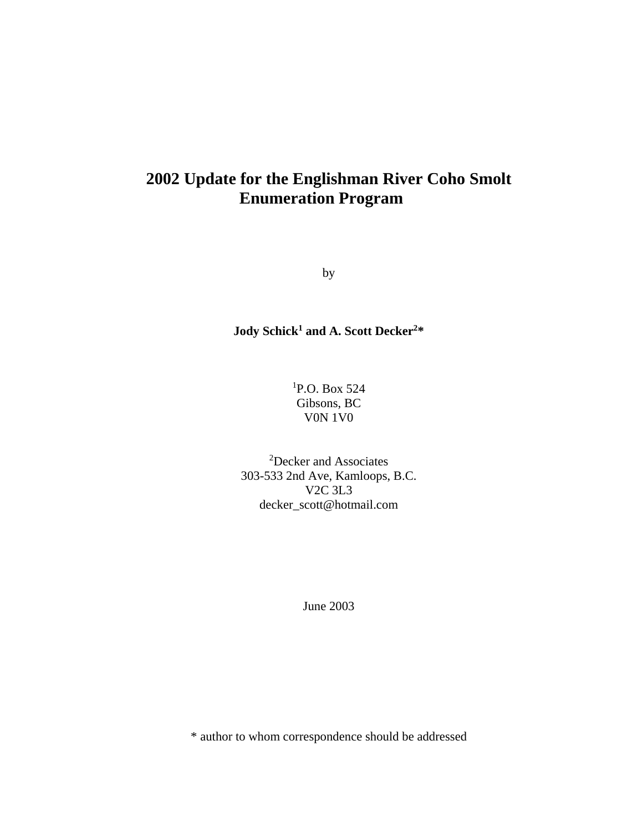# **2002 Update for the Englishman River Coho Smolt Enumeration Program**

by

**Jody Schick1 and A. Scott Decker2\*** 

1 P.O. Box 524 Gibsons, BC V0N 1V0

2 Decker and Associates 303-533 2nd Ave, Kamloops, B.C. V2C 3L3 decker\_scott@hotmail.com

June 2003

\* author to whom correspondence should be addressed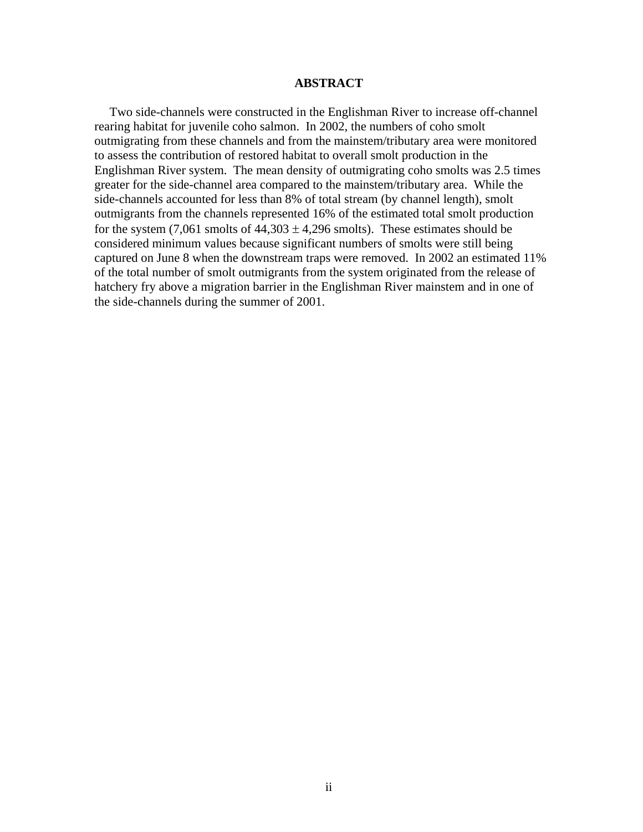### **ABSTRACT**

<span id="page-1-0"></span>Two side-channels were constructed in the Englishman River to increase off-channel rearing habitat for juvenile coho salmon. In 2002, the numbers of coho smolt outmigrating from these channels and from the mainstem/tributary area were monitored to assess the contribution of restored habitat to overall smolt production in the Englishman River system. The mean density of outmigrating coho smolts was 2.5 times greater for the side-channel area compared to the mainstem/tributary area. While the side-channels accounted for less than 8% of total stream (by channel length), smolt outmigrants from the channels represented 16% of the estimated total smolt production for the system  $(7,061 \text{ smolts of } 44,303 \pm 4,296 \text{ smolts})$ . These estimates should be considered minimum values because significant numbers of smolts were still being captured on June 8 when the downstream traps were removed. In 2002 an estimated 11% of the total number of smolt outmigrants from the system originated from the release of hatchery fry above a migration barrier in the Englishman River mainstem and in one of the side-channels during the summer of 2001.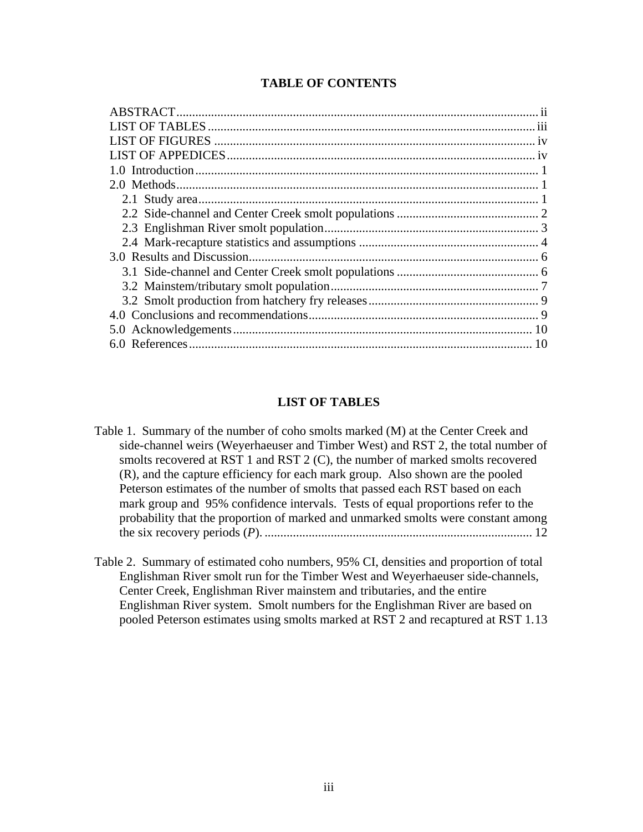|  |  |  | <b>TABLE OF CONTENTS</b> |
|--|--|--|--------------------------|
|--|--|--|--------------------------|

## **LIST OF TABLES**

- <span id="page-2-0"></span>[Table 1. Summary of the number of coho smolts marked \(M\) at the Center Creek and](#page-15-0)  [side-channel weirs \(Weyerhaeuser and Timber West\) and RST 2, the total number of](#page-15-0)  [smolts recovered at RST 1 and RST 2 \(C\), the number of marked smolts recovered](#page-15-0)  [\(R\), and the capture efficiency for each mark group. Also shown are the pooled](#page-15-0)  [Peterson estimates of the number of smolts that passed each RST based on each](#page-15-0)  [mark group and 95% confidence intervals. Tests of equal proportions refer to the](#page-15-0)  [probability that the proportion of marked and unmarked smolts were constant among](#page-15-0)  the six recovery periods (*P*). [.....................................................................................](#page-15-0) 12
- [Table 2. Summary of estimated coho numbers, 95% CI, densities and proportion of total](#page-16-0)  [Englishman River smolt run for the Timber West and Weyerhaeuser side-channels,](#page-16-0)  [Center Creek, Englishman River mainstem and tributaries, and the entire](#page-16-0)  [Englishman River system. Smolt numbers for the Englishman River are based on](#page-16-0)  [pooled Peterson estimates using smolts marked at RST 2 and recaptured at RST 1.13](#page-16-0)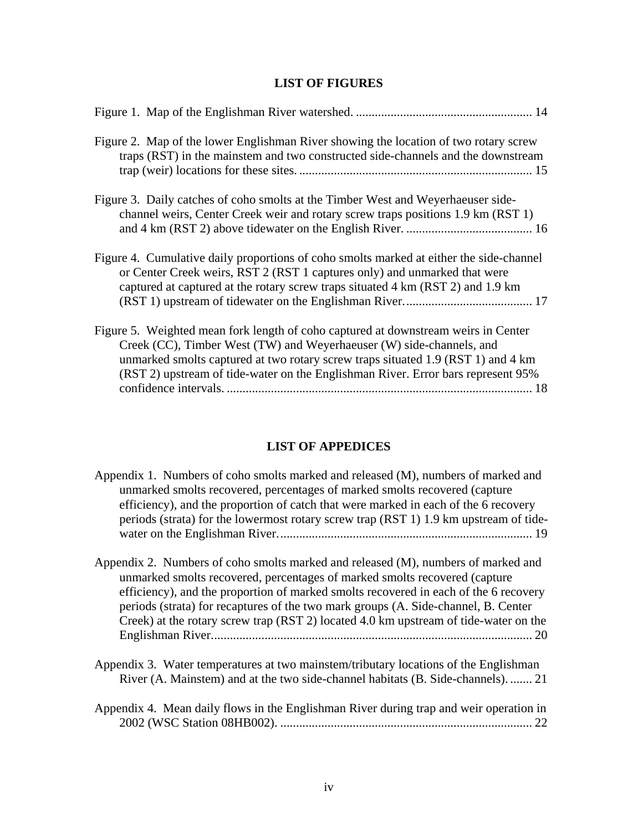# **LIST OF FIGURES**

<span id="page-3-0"></span>

| Figure 2. Map of the lower Englishman River showing the location of two rotary screw<br>traps (RST) in the mainstem and two constructed side-channels and the downstream                                                                                                                                                           |
|------------------------------------------------------------------------------------------------------------------------------------------------------------------------------------------------------------------------------------------------------------------------------------------------------------------------------------|
| Figure 3. Daily catches of coho smolts at the Timber West and Weyerhaeuser side-<br>channel weirs, Center Creek weir and rotary screw traps positions 1.9 km (RST 1)                                                                                                                                                               |
| Figure 4. Cumulative daily proportions of coho smolts marked at either the side-channel<br>or Center Creek weirs, RST 2 (RST 1 captures only) and unmarked that were<br>captured at captured at the rotary screw traps situated 4 km (RST 2) and 1.9 km                                                                            |
| Figure 5. Weighted mean fork length of coho captured at downstream weirs in Center<br>Creek (CC), Timber West (TW) and Weyerhaeuser (W) side-channels, and<br>unmarked smolts captured at two rotary screw traps situated 1.9 (RST 1) and 4 km<br>(RST 2) upstream of tide-water on the Englishman River. Error bars represent 95% |

# **LIST OF APPEDICES**

<span id="page-3-1"></span>

| Appendix 1. Numbers of coho smolts marked and released (M), numbers of marked and     |
|---------------------------------------------------------------------------------------|
| unmarked smolts recovered, percentages of marked smolts recovered (capture            |
| efficiency), and the proportion of catch that were marked in each of the 6 recovery   |
| periods (strata) for the lowermost rotary screw trap (RST 1) 1.9 km upstream of tide- |
|                                                                                       |
|                                                                                       |
| Appendix 2. Numbers of coho smolts marked and released (M), numbers of marked and     |

- [unmarked smolts recovered, percentages of marked smolts recovered \(capture](#page-23-0)  [efficiency\), and the proportion of marked smolts recovered in each of the 6 recovery](#page-23-0)  [periods \(strata\) for recaptures of the two mark groups \(A. Side-channel, B. Center](#page-23-0)  [Creek\) at the rotary screw trap \(RST 2\) located 4.0 km upstream of tide-water on the](#page-23-0)  [Englishman River......................................................................................................](#page-23-0) 20
- [Appendix 3. Water temperatures at two mainstem/tributary locations of the Englishman](#page-24-0)  [River \(A. Mainstem\) and at the two side-channel habitats \(B. Side-channels\).](#page-24-0) ....... 21

| Appendix 4. Mean daily flows in the Englishman River during trap and weir operation in |  |  |  |  |  |
|----------------------------------------------------------------------------------------|--|--|--|--|--|
|                                                                                        |  |  |  |  |  |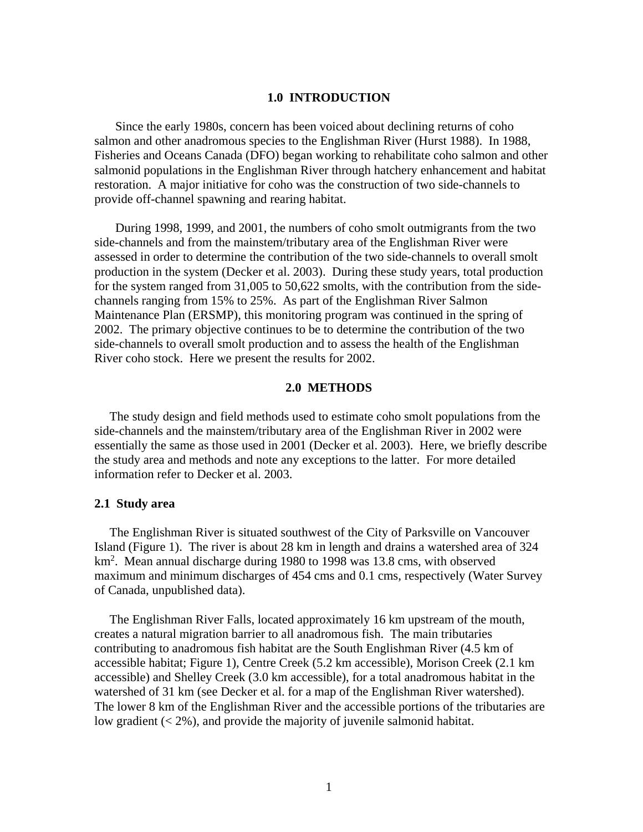#### **1.0 INTRODUCTION**

<span id="page-4-0"></span>Since the early 1980s, concern has been voiced about declining returns of coho salmon and other anadromous species to the Englishman River (Hurst 1988). In 1988, Fisheries and Oceans Canada (DFO) began working to rehabilitate coho salmon and other salmonid populations in the Englishman River through hatchery enhancement and habitat restoration. A major initiative for coho was the construction of two side-channels to provide off-channel spawning and rearing habitat.

During 1998, 1999, and 2001, the numbers of coho smolt outmigrants from the two side-channels and from the mainstem/tributary area of the Englishman River were assessed in order to determine the contribution of the two side-channels to overall smolt production in the system (Decker et al. 2003). During these study years, total production for the system ranged from 31,005 to 50,622 smolts, with the contribution from the sidechannels ranging from 15% to 25%. As part of the Englishman River Salmon Maintenance Plan (ERSMP), this monitoring program was continued in the spring of 2002. The primary objective continues to be to determine the contribution of the two side-channels to overall smolt production and to assess the health of the Englishman River coho stock. Here we present the results for 2002.

## **2.0 METHODS**

<span id="page-4-1"></span>The study design and field methods used to estimate coho smolt populations from the side-channels and the mainstem/tributary area of the Englishman River in 2002 were essentially the same as those used in 2001 (Decker et al. 2003). Here, we briefly describe the study area and methods and note any exceptions to the latter. For more detailed information refer to Decker et al. 2003.

#### <span id="page-4-2"></span>**2.1 Study area**

The Englishman River is situated southwest of the City of Parksville on Vancouver Island (Figure 1). The river is about 28 km in length and drains a watershed area of 324 km<sup>2</sup>. Mean annual discharge during 1980 to 1998 was 13.8 cms, with observed maximum and minimum discharges of 454 cms and 0.1 cms, respectively (Water Survey of Canada, unpublished data).

The Englishman River Falls, located approximately 16 km upstream of the mouth, creates a natural migration barrier to all anadromous fish. The main tributaries contributing to anadromous fish habitat are the South Englishman River (4.5 km of accessible habitat; Figure 1), Centre Creek (5.2 km accessible), Morison Creek (2.1 km accessible) and Shelley Creek (3.0 km accessible), for a total anadromous habitat in the watershed of 31 km (see Decker et al. for a map of the Englishman River watershed). The lower 8 km of the Englishman River and the accessible portions of the tributaries are low gradient  $(< 2\%)$ , and provide the majority of juvenile salmonid habitat.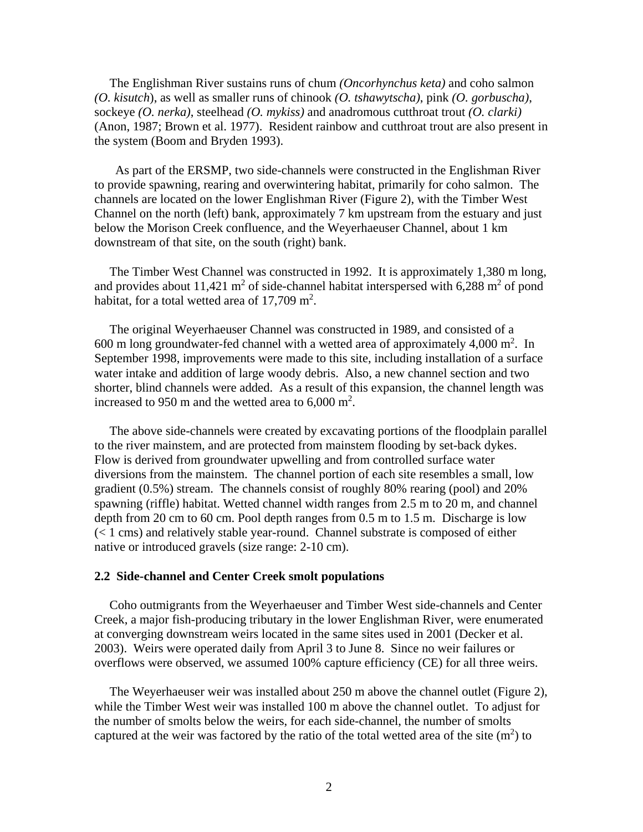The Englishman River sustains runs of chum *(Oncorhynchus keta)* and coho salmon *(O. kisutch*), as well as smaller runs of chinook *(O. tshawytscha)*, pink *(O. gorbuscha)*, sockeye *(O. nerka)*, steelhead *(O. mykiss)* and anadromous cutthroat trout *(O. clarki)* (Anon, 1987; Brown et al. 1977). Resident rainbow and cutthroat trout are also present in the system (Boom and Bryden 1993).

As part of the ERSMP, two side-channels were constructed in the Englishman River to provide spawning, rearing and overwintering habitat, primarily for coho salmon. The channels are located on the lower Englishman River (Figure 2), with the Timber West Channel on the north (left) bank, approximately 7 km upstream from the estuary and just below the Morison Creek confluence, and the Weyerhaeuser Channel, about 1 km downstream of that site, on the south (right) bank.

The Timber West Channel was constructed in 1992. It is approximately 1,380 m long, and provides about 11,421  $m^2$  of side-channel habitat interspersed with 6,288  $m^2$  of pond habitat, for a total wetted area of  $17,709$  m<sup>2</sup>.

The original Weyerhaeuser Channel was constructed in 1989, and consisted of a 600 m long groundwater-fed channel with a wetted area of approximately  $4,000$  m<sup>2</sup>. In September 1998, improvements were made to this site, including installation of a surface water intake and addition of large woody debris. Also, a new channel section and two shorter, blind channels were added. As a result of this expansion, the channel length was increased to 950 m and the wetted area to  $6,000 \text{ m}^2$ .

The above side-channels were created by excavating portions of the floodplain parallel to the river mainstem, and are protected from mainstem flooding by set-back dykes. Flow is derived from groundwater upwelling and from controlled surface water diversions from the mainstem. The channel portion of each site resembles a small, low gradient (0.5%) stream. The channels consist of roughly 80% rearing (pool) and 20% spawning (riffle) habitat. Wetted channel width ranges from 2.5 m to 20 m, and channel depth from 20 cm to 60 cm. Pool depth ranges from 0.5 m to 1.5 m. Discharge is low (< 1 cms) and relatively stable year-round. Channel substrate is composed of either native or introduced gravels (size range: 2-10 cm).

#### <span id="page-5-0"></span>**2.2 Side-channel and Center Creek smolt populations**

Coho outmigrants from the Weyerhaeuser and Timber West side-channels and Center Creek, a major fish-producing tributary in the lower Englishman River, were enumerated at converging downstream weirs located in the same sites used in 2001 (Decker et al. 2003). Weirs were operated daily from April 3 to June 8. Since no weir failures or overflows were observed, we assumed 100% capture efficiency (CE) for all three weirs.

The Weyerhaeuser weir was installed about 250 m above the channel outlet (Figure 2), while the Timber West weir was installed 100 m above the channel outlet. To adjust for the number of smolts below the weirs, for each side-channel, the number of smolts captured at the weir was factored by the ratio of the total wetted area of the site  $(m<sup>2</sup>)$  to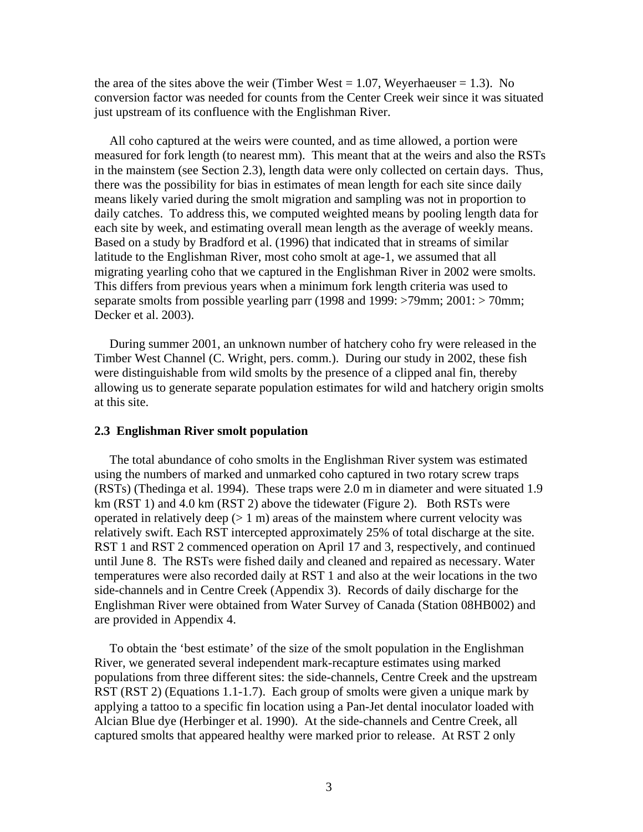the area of the sites above the weir (Timber West  $= 1.07$ , Weyerhaeuser  $= 1.3$ ). No conversion factor was needed for counts from the Center Creek weir since it was situated just upstream of its confluence with the Englishman River.

All coho captured at the weirs were counted, and as time allowed, a portion were measured for fork length (to nearest mm). This meant that at the weirs and also the RSTs in the mainstem (see Section 2.3), length data were only collected on certain days. Thus, there was the possibility for bias in estimates of mean length for each site since daily means likely varied during the smolt migration and sampling was not in proportion to daily catches. To address this, we computed weighted means by pooling length data for each site by week, and estimating overall mean length as the average of weekly means. Based on a study by Bradford et al. (1996) that indicated that in streams of similar latitude to the Englishman River, most coho smolt at age-1, we assumed that all migrating yearling coho that we captured in the Englishman River in 2002 were smolts. This differs from previous years when a minimum fork length criteria was used to separate smolts from possible yearling parr (1998 and 1999: >79mm; 2001: > 70mm; Decker et al. 2003).

During summer 2001, an unknown number of hatchery coho fry were released in the Timber West Channel (C. Wright, pers. comm.). During our study in 2002, these fish were distinguishable from wild smolts by the presence of a clipped anal fin, thereby allowing us to generate separate population estimates for wild and hatchery origin smolts at this site.

### <span id="page-6-0"></span>**2.3 Englishman River smolt population**

The total abundance of coho smolts in the Englishman River system was estimated using the numbers of marked and unmarked coho captured in two rotary screw traps (RSTs) (Thedinga et al. 1994). These traps were 2.0 m in diameter and were situated 1.9 km (RST 1) and 4.0 km (RST 2) above the tidewater (Figure 2). Both RSTs were operated in relatively deep  $(1 \text{ m})$  areas of the mainstem where current velocity was relatively swift. Each RST intercepted approximately 25% of total discharge at the site. RST 1 and RST 2 commenced operation on April 17 and 3, respectively, and continued until June 8. The RSTs were fished daily and cleaned and repaired as necessary. Water temperatures were also recorded daily at RST 1 and also at the weir locations in the two side-channels and in Centre Creek (Appendix 3). Records of daily discharge for the Englishman River were obtained from Water Survey of Canada (Station 08HB002) and are provided in Appendix 4.

To obtain the 'best estimate' of the size of the smolt population in the Englishman River, we generated several independent mark-recapture estimates using marked populations from three different sites: the side-channels, Centre Creek and the upstream RST (RST 2) (Equations 1.1-1.7). Each group of smolts were given a unique mark by applying a tattoo to a specific fin location using a Pan-Jet dental inoculator loaded with Alcian Blue dye (Herbinger et al. 1990). At the side-channels and Centre Creek, all captured smolts that appeared healthy were marked prior to release. At RST 2 only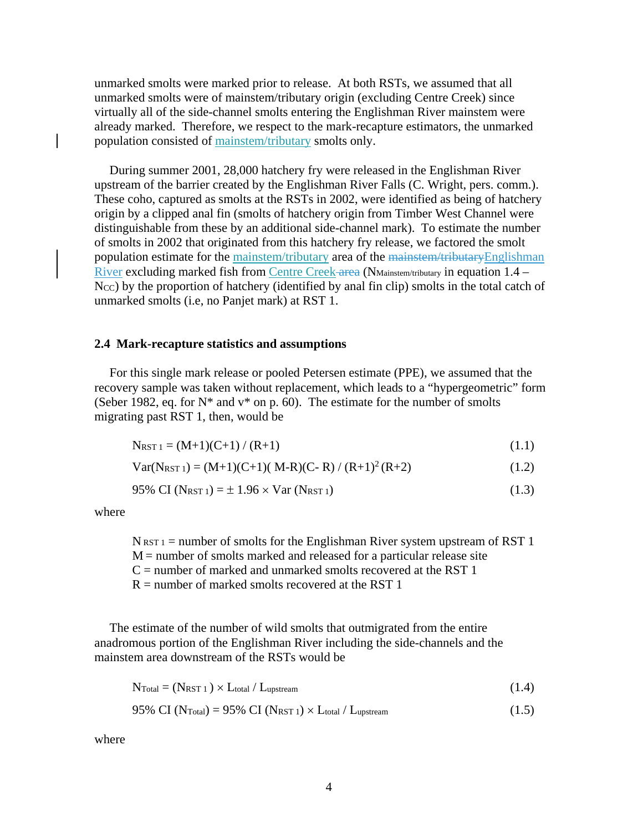unmarked smolts were marked prior to release. At both RSTs, we assumed that all unmarked smolts were of mainstem/tributary origin (excluding Centre Creek) since virtually all of the side-channel smolts entering the Englishman River mainstem were already marked. Therefore, we respect to the mark-recapture estimators, the unmarked population consisted of mainstem/tributary smolts only.

During summer 2001, 28,000 hatchery fry were released in the Englishman River upstream of the barrier created by the Englishman River Falls (C. Wright, pers. comm.). These coho, captured as smolts at the RSTs in 2002, were identified as being of hatchery origin by a clipped anal fin (smolts of hatchery origin from Timber West Channel were distinguishable from these by an additional side-channel mark). To estimate the number of smolts in 2002 that originated from this hatchery fry release, we factored the smolt population estimate for the mainstem/tributary area of the mainstem/tributaryEnglishman River excluding marked fish from Centre Creek area (NMainstem/tributary in equation 1.4 – N<sub>CC</sub>) by the proportion of hatchery (identified by anal fin clip) smolts in the total catch of unmarked smolts (i.e, no Panjet mark) at RST 1.

#### <span id="page-7-0"></span>**2.4 Mark-recapture statistics and assumptions**

For this single mark release or pooled Petersen estimate (PPE), we assumed that the recovery sample was taken without replacement, which leads to a "hypergeometric" form (Seber 1982, eq. for  $N^*$  and  $v^*$  on p. 60). The estimate for the number of smolts migrating past RST 1, then, would be

$$
N_{RST 1} = (M+1)(C+1) / (R+1)
$$
\n(1.1)

$$
Var(N_{RST 1}) = (M+1)(C+1)(M-R)(C-R) / (R+1)^{2} (R+2)
$$
\n(1.2)

$$
95\% \text{ CI (N}_{RST1}) = \pm 1.96 \times \text{Var (N}_{RST1}) \tag{1.3}
$$

where

 $N_{RST1}$  = number of smolts for the Englishman River system upstream of RST 1  $M =$  number of smolts marked and released for a particular release site  $C$  = number of marked and unmarked smolts recovered at the RST 1  $R =$  number of marked smolts recovered at the RST 1

The estimate of the number of wild smolts that outmigrated from the entire anadromous portion of the Englishman River including the side-channels and the mainstem area downstream of the RSTs would be

$$
N_{\text{Total}} = (N_{\text{RST 1}}) \times L_{\text{total}} / L_{\text{upstream}} \tag{1.4}
$$

$$
95\% \text{ CI (NTotal)} = 95\% \text{ CI (NRST 1)} \times L_{\text{total}} / L_{\text{upstream}}
$$
 (1.5)

where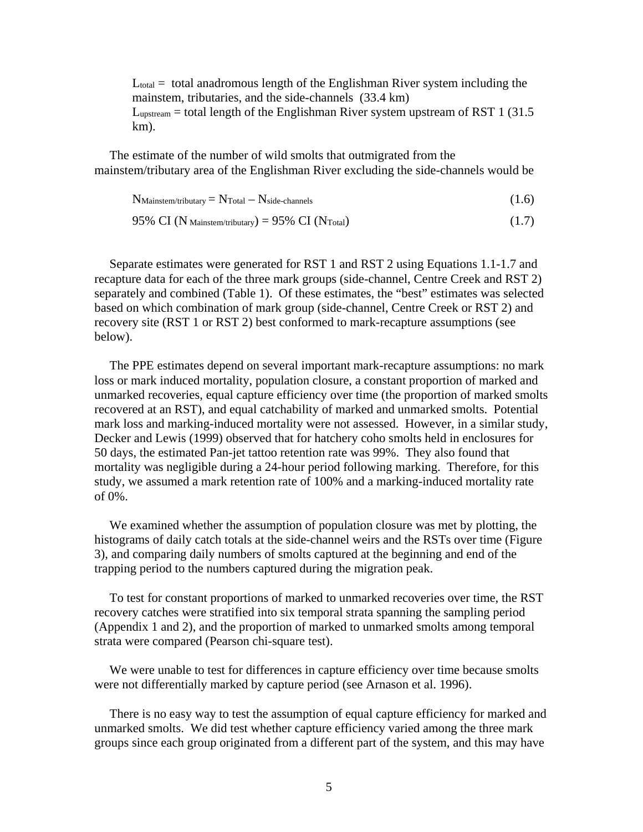$L_{total}$  = total anadromous length of the Englishman River system including the mainstem, tributaries, and the side-channels (33.4 km)  $L_{upstream}$  = total length of the Englishman River system upstream of RST 1 (31.5) km).

The estimate of the number of wild smolts that outmigrated from the mainstem/tributary area of the Englishman River excluding the side-channels would be

 $N_{\text{Mainstem/tributary}} = N_{\text{Total}} - N_{\text{side-channels}}$  (1.6)

95% CI (N Mainstem/tributary) = 95% CI (N Total)  $(1.7)$ 

Separate estimates were generated for RST 1 and RST 2 using Equations 1.1-1.7 and recapture data for each of the three mark groups (side-channel, Centre Creek and RST 2) separately and combined (Table 1). Of these estimates, the "best" estimates was selected based on which combination of mark group (side-channel, Centre Creek or RST 2) and recovery site (RST 1 or RST 2) best conformed to mark-recapture assumptions (see below).

The PPE estimates depend on several important mark-recapture assumptions: no mark loss or mark induced mortality, population closure, a constant proportion of marked and unmarked recoveries, equal capture efficiency over time (the proportion of marked smolts recovered at an RST), and equal catchability of marked and unmarked smolts. Potential mark loss and marking-induced mortality were not assessed. However, in a similar study, Decker and Lewis (1999) observed that for hatchery coho smolts held in enclosures for 50 days, the estimated Pan-jet tattoo retention rate was 99%. They also found that mortality was negligible during a 24-hour period following marking. Therefore, for this study, we assumed a mark retention rate of 100% and a marking-induced mortality rate of 0%.

We examined whether the assumption of population closure was met by plotting, the histograms of daily catch totals at the side-channel weirs and the RSTs over time (Figure 3), and comparing daily numbers of smolts captured at the beginning and end of the trapping period to the numbers captured during the migration peak.

To test for constant proportions of marked to unmarked recoveries over time, the RST recovery catches were stratified into six temporal strata spanning the sampling period (Appendix 1 and 2), and the proportion of marked to unmarked smolts among temporal strata were compared (Pearson chi-square test).

We were unable to test for differences in capture efficiency over time because smolts were not differentially marked by capture period (see Arnason et al. 1996).

There is no easy way to test the assumption of equal capture efficiency for marked and unmarked smolts. We did test whether capture efficiency varied among the three mark groups since each group originated from a different part of the system, and this may have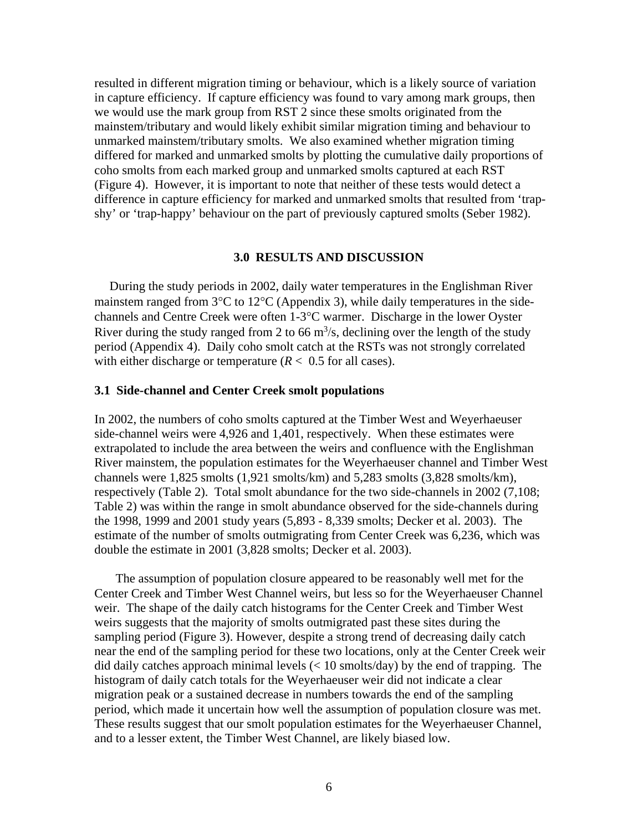resulted in different migration timing or behaviour, which is a likely source of variation in capture efficiency. If capture efficiency was found to vary among mark groups, then we would use the mark group from RST 2 since these smolts originated from the mainstem/tributary and would likely exhibit similar migration timing and behaviour to unmarked mainstem/tributary smolts. We also examined whether migration timing differed for marked and unmarked smolts by plotting the cumulative daily proportions of coho smolts from each marked group and unmarked smolts captured at each RST (Figure 4). However, it is important to note that neither of these tests would detect a difference in capture efficiency for marked and unmarked smolts that resulted from 'trapshy' or 'trap-happy' behaviour on the part of previously captured smolts (Seber 1982).

#### **3.0 RESULTS AND DISCUSSION**

<span id="page-9-0"></span>During the study periods in 2002, daily water temperatures in the Englishman River mainstem ranged from 3°C to 12°C (Appendix 3), while daily temperatures in the sidechannels and Centre Creek were often 1-3°C warmer. Discharge in the lower Oyster River during the study ranged from 2 to 66  $\mathrm{m}^3$ /s, declining over the length of the study period (Appendix 4). Daily coho smolt catch at the RSTs was not strongly correlated with either discharge or temperature  $(R < 0.5$  for all cases).

### <span id="page-9-1"></span>**3.1 Side-channel and Center Creek smolt populations**

In 2002, the numbers of coho smolts captured at the Timber West and Weyerhaeuser side-channel weirs were 4,926 and 1,401, respectively. When these estimates were extrapolated to include the area between the weirs and confluence with the Englishman River mainstem, the population estimates for the Weyerhaeuser channel and Timber West channels were 1,825 smolts (1,921 smolts/km) and 5,283 smolts (3,828 smolts/km), respectively (Table 2). Total smolt abundance for the two side-channels in 2002 (7,108; Table 2) was within the range in smolt abundance observed for the side-channels during the 1998, 1999 and 2001 study years (5,893 - 8,339 smolts; Decker et al. 2003). The estimate of the number of smolts outmigrating from Center Creek was 6,236, which was double the estimate in 2001 (3,828 smolts; Decker et al. 2003).

The assumption of population closure appeared to be reasonably well met for the Center Creek and Timber West Channel weirs, but less so for the Weyerhaeuser Channel weir. The shape of the daily catch histograms for the Center Creek and Timber West weirs suggests that the majority of smolts outmigrated past these sites during the sampling period (Figure 3). However, despite a strong trend of decreasing daily catch near the end of the sampling period for these two locations, only at the Center Creek weir did daily catches approach minimal levels  $\ll 10$  smolts/day) by the end of trapping. The histogram of daily catch totals for the Weyerhaeuser weir did not indicate a clear migration peak or a sustained decrease in numbers towards the end of the sampling period, which made it uncertain how well the assumption of population closure was met. These results suggest that our smolt population estimates for the Weyerhaeuser Channel, and to a lesser extent, the Timber West Channel, are likely biased low.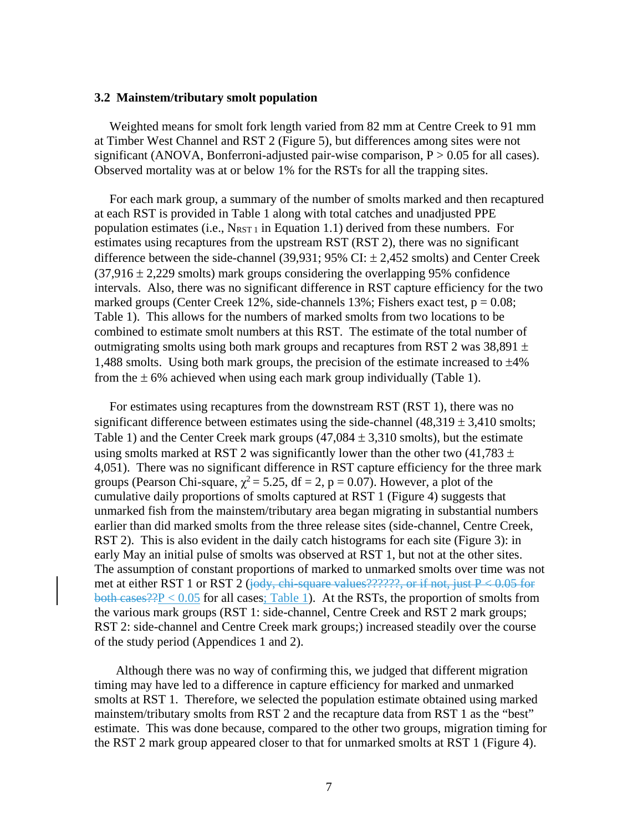#### <span id="page-10-0"></span>**3.2 Mainstem/tributary smolt population**

Weighted means for smolt fork length varied from 82 mm at Centre Creek to 91 mm at Timber West Channel and RST 2 (Figure 5), but differences among sites were not significant (ANOVA, Bonferroni-adjusted pair-wise comparison,  $P > 0.05$  for all cases). Observed mortality was at or below 1% for the RSTs for all the trapping sites.

For each mark group, a summary of the number of smolts marked and then recaptured at each RST is provided in Table 1 along with total catches and unadjusted PPE population estimates (i.e.,  $N_{RST 1}$  in Equation 1.1) derived from these numbers. For estimates using recaptures from the upstream RST (RST 2), there was no significant difference between the side-channel (39,931; 95% CI:  $\pm$  2,452 smolts) and Center Creek  $(37.916 \pm 2.229$  smolts) mark groups considering the overlapping 95% confidence intervals. Also, there was no significant difference in RST capture efficiency for the two marked groups (Center Creek 12%, side-channels 13%; Fishers exact test,  $p = 0.08$ ; Table 1). This allows for the numbers of marked smolts from two locations to be combined to estimate smolt numbers at this RST. The estimate of the total number of outmigrating smolts using both mark groups and recaptures from RST 2 was  $38,891 \pm$ 1,488 smolts. Using both mark groups, the precision of the estimate increased to  $\pm 4\%$ from the  $\pm 6\%$  achieved when using each mark group individually (Table 1).

For estimates using recaptures from the downstream RST (RST 1), there was no significant difference between estimates using the side-channel  $(48,319 \pm 3,410$  smolts; Table 1) and the Center Creek mark groups  $(47,084 \pm 3,310$  smolts), but the estimate using smolts marked at RST 2 was significantly lower than the other two (41,783  $\pm$ ) 4,051). There was no significant difference in RST capture efficiency for the three mark groups (Pearson Chi-square,  $\chi^2 = 5.25$ , df = 2, p = 0.07). However, a plot of the cumulative daily proportions of smolts captured at RST 1 (Figure 4) suggests that unmarked fish from the mainstem/tributary area began migrating in substantial numbers earlier than did marked smolts from the three release sites (side-channel, Centre Creek, RST 2). This is also evident in the daily catch histograms for each site (Figure 3): in early May an initial pulse of smolts was observed at RST 1, but not at the other sites. The assumption of constant proportions of marked to unmarked smolts over time was not met at either RST 1 or RST 2 (jody, chi-square values??????, or if not, just  $P < 0.05$  for both cases??P < 0.05 for all cases; Table 1). At the RSTs, the proportion of smolts from the various mark groups (RST 1: side-channel, Centre Creek and RST 2 mark groups; RST 2: side-channel and Centre Creek mark groups;) increased steadily over the course of the study period (Appendices 1 and 2).

 Although there was no way of confirming this, we judged that different migration timing may have led to a difference in capture efficiency for marked and unmarked smolts at RST 1. Therefore, we selected the population estimate obtained using marked mainstem/tributary smolts from RST 2 and the recapture data from RST 1 as the "best" estimate. This was done because, compared to the other two groups, migration timing for the RST 2 mark group appeared closer to that for unmarked smolts at RST 1 (Figure 4).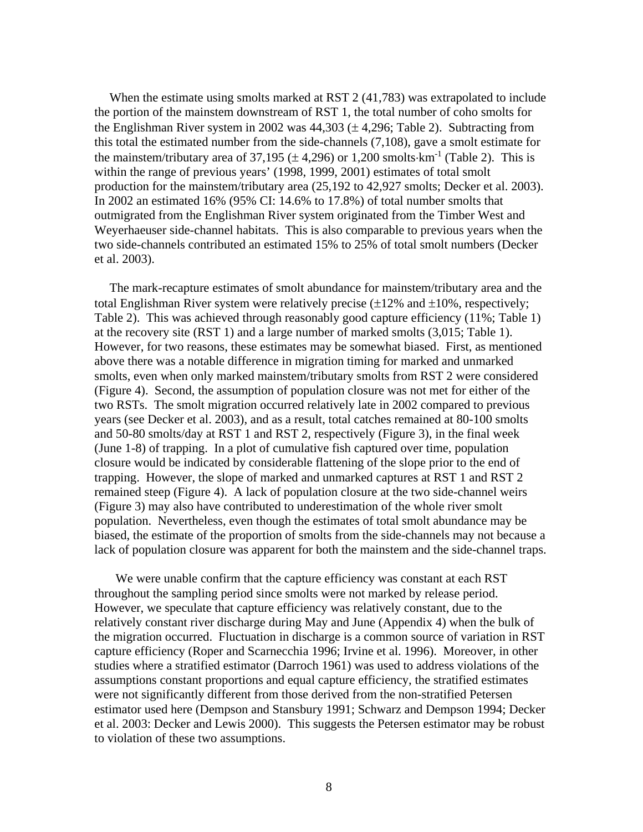When the estimate using smolts marked at RST 2 (41,783) was extrapolated to include the portion of the mainstem downstream of RST 1, the total number of coho smolts for the Englishman River system in 2002 was  $44,303 \ (\pm 4,296)$ ; Table 2). Subtracting from this total the estimated number from the side-channels (7,108), gave a smolt estimate for the mainstem/tributary area of 37,195 ( $\pm$  4,296) or 1,200 smolts⋅km<sup>-1</sup> (Table 2). This is within the range of previous years' (1998, 1999, 2001) estimates of total smolt production for the mainstem/tributary area (25,192 to 42,927 smolts; Decker et al. 2003). In 2002 an estimated 16% (95% CI: 14.6% to 17.8%) of total number smolts that outmigrated from the Englishman River system originated from the Timber West and Weyerhaeuser side-channel habitats. This is also comparable to previous years when the two side-channels contributed an estimated 15% to 25% of total smolt numbers (Decker et al. 2003).

The mark-recapture estimates of smolt abundance for mainstem/tributary area and the total Englishman River system were relatively precise  $(\pm 12\%$  and  $\pm 10\%$ , respectively; Table 2). This was achieved through reasonably good capture efficiency (11%; Table 1) at the recovery site (RST 1) and a large number of marked smolts (3,015; Table 1). However, for two reasons, these estimates may be somewhat biased. First, as mentioned above there was a notable difference in migration timing for marked and unmarked smolts, even when only marked mainstem/tributary smolts from RST 2 were considered (Figure 4). Second, the assumption of population closure was not met for either of the two RSTs. The smolt migration occurred relatively late in 2002 compared to previous years (see Decker et al. 2003), and as a result, total catches remained at 80-100 smolts and 50-80 smolts/day at RST 1 and RST 2, respectively (Figure 3), in the final week (June 1-8) of trapping. In a plot of cumulative fish captured over time, population closure would be indicated by considerable flattening of the slope prior to the end of trapping. However, the slope of marked and unmarked captures at RST 1 and RST 2 remained steep (Figure 4). A lack of population closure at the two side-channel weirs (Figure 3) may also have contributed to underestimation of the whole river smolt population. Nevertheless, even though the estimates of total smolt abundance may be biased, the estimate of the proportion of smolts from the side-channels may not because a lack of population closure was apparent for both the mainstem and the side-channel traps.

We were unable confirm that the capture efficiency was constant at each RST throughout the sampling period since smolts were not marked by release period. However, we speculate that capture efficiency was relatively constant, due to the relatively constant river discharge during May and June (Appendix 4) when the bulk of the migration occurred. Fluctuation in discharge is a common source of variation in RST capture efficiency (Roper and Scarnecchia 1996; Irvine et al. 1996). Moreover, in other studies where a stratified estimator (Darroch 1961) was used to address violations of the assumptions constant proportions and equal capture efficiency, the stratified estimates were not significantly different from those derived from the non-stratified Petersen estimator used here (Dempson and Stansbury 1991; Schwarz and Dempson 1994; Decker et al. 2003: Decker and Lewis 2000). This suggests the Petersen estimator may be robust to violation of these two assumptions.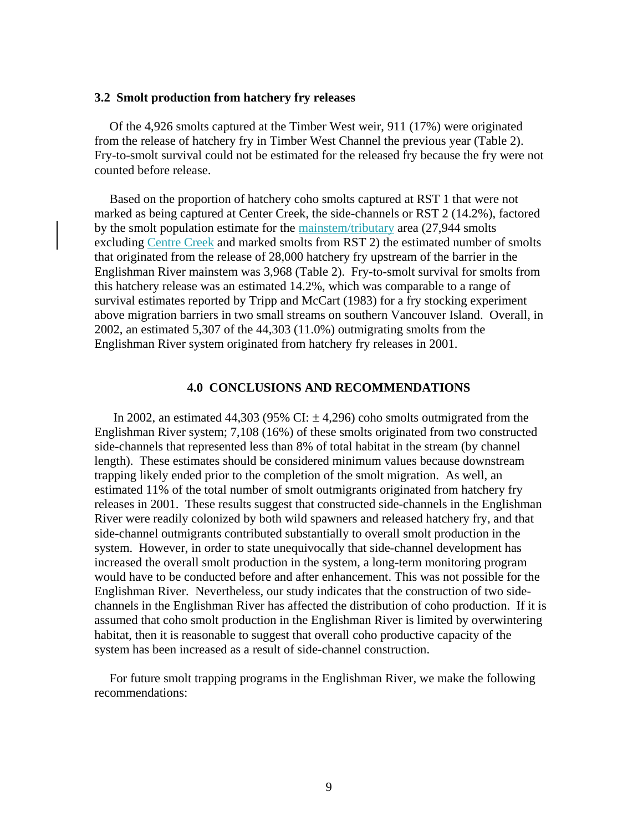#### <span id="page-12-0"></span>**3.2 Smolt production from hatchery fry releases**

Of the 4,926 smolts captured at the Timber West weir, 911 (17%) were originated from the release of hatchery fry in Timber West Channel the previous year (Table 2). Fry-to-smolt survival could not be estimated for the released fry because the fry were not counted before release.

Based on the proportion of hatchery coho smolts captured at RST 1 that were not marked as being captured at Center Creek, the side-channels or RST 2 (14.2%), factored by the smolt population estimate for the mainstem/tributary area (27,944 smolts excluding Centre Creek and marked smolts from RST 2) the estimated number of smolts that originated from the release of 28,000 hatchery fry upstream of the barrier in the Englishman River mainstem was 3,968 (Table 2). Fry-to-smolt survival for smolts from this hatchery release was an estimated 14.2%, which was comparable to a range of survival estimates reported by Tripp and McCart (1983) for a fry stocking experiment above migration barriers in two small streams on southern Vancouver Island. Overall, in 2002, an estimated 5,307 of the 44,303 (11.0%) outmigrating smolts from the Englishman River system originated from hatchery fry releases in 2001.

# **4.0 CONCLUSIONS AND RECOMMENDATIONS**

<span id="page-12-1"></span>In 2002, an estimated 44,303 (95% CI:  $\pm$  4,296) coho smolts outmigrated from the Englishman River system; 7,108 (16%) of these smolts originated from two constructed side-channels that represented less than 8% of total habitat in the stream (by channel length). These estimates should be considered minimum values because downstream trapping likely ended prior to the completion of the smolt migration. As well, an estimated 11% of the total number of smolt outmigrants originated from hatchery fry releases in 2001. These results suggest that constructed side-channels in the Englishman River were readily colonized by both wild spawners and released hatchery fry, and that side-channel outmigrants contributed substantially to overall smolt production in the system. However, in order to state unequivocally that side-channel development has increased the overall smolt production in the system, a long-term monitoring program would have to be conducted before and after enhancement. This was not possible for the Englishman River. Nevertheless, our study indicates that the construction of two sidechannels in the Englishman River has affected the distribution of coho production. If it is assumed that coho smolt production in the Englishman River is limited by overwintering habitat, then it is reasonable to suggest that overall coho productive capacity of the system has been increased as a result of side-channel construction.

For future smolt trapping programs in the Englishman River, we make the following recommendations: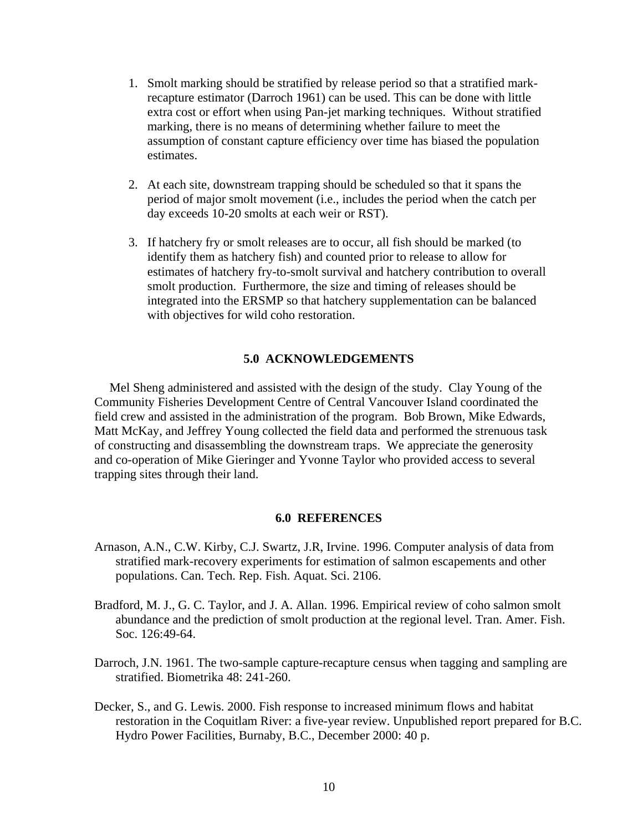- 1. Smolt marking should be stratified by release period so that a stratified markrecapture estimator (Darroch 1961) can be used. This can be done with little extra cost or effort when using Pan-jet marking techniques. Without stratified marking, there is no means of determining whether failure to meet the assumption of constant capture efficiency over time has biased the population estimates.
- 2. At each site, downstream trapping should be scheduled so that it spans the period of major smolt movement (i.e., includes the period when the catch per day exceeds 10-20 smolts at each weir or RST).
- 3. If hatchery fry or smolt releases are to occur, all fish should be marked (to identify them as hatchery fish) and counted prior to release to allow for estimates of hatchery fry-to-smolt survival and hatchery contribution to overall smolt production. Furthermore, the size and timing of releases should be integrated into the ERSMP so that hatchery supplementation can be balanced with objectives for wild coho restoration.

## **5.0 ACKNOWLEDGEMENTS**

<span id="page-13-0"></span>Mel Sheng administered and assisted with the design of the study. Clay Young of the Community Fisheries Development Centre of Central Vancouver Island coordinated the field crew and assisted in the administration of the program. Bob Brown, Mike Edwards, Matt McKay, and Jeffrey Young collected the field data and performed the strenuous task of constructing and disassembling the downstream traps. We appreciate the generosity and co-operation of Mike Gieringer and Yvonne Taylor who provided access to several trapping sites through their land.

#### **6.0 REFERENCES**

- <span id="page-13-1"></span>Arnason, A.N., C.W. Kirby, C.J. Swartz, J.R, Irvine. 1996. Computer analysis of data from stratified mark-recovery experiments for estimation of salmon escapements and other populations. Can. Tech. Rep. Fish. Aquat. Sci. 2106.
- Bradford, M. J., G. C. Taylor, and J. A. Allan. 1996. Empirical review of coho salmon smolt abundance and the prediction of smolt production at the regional level. Tran. Amer. Fish. Soc. 126:49-64.
- Darroch, J.N. 1961. The two-sample capture-recapture census when tagging and sampling are stratified. Biometrika 48: 241-260.
- Decker, S., and G. Lewis. 2000. Fish response to increased minimum flows and habitat restoration in the Coquitlam River: a five-year review. Unpublished report prepared for B.C. Hydro Power Facilities, Burnaby, B.C., December 2000: 40 p.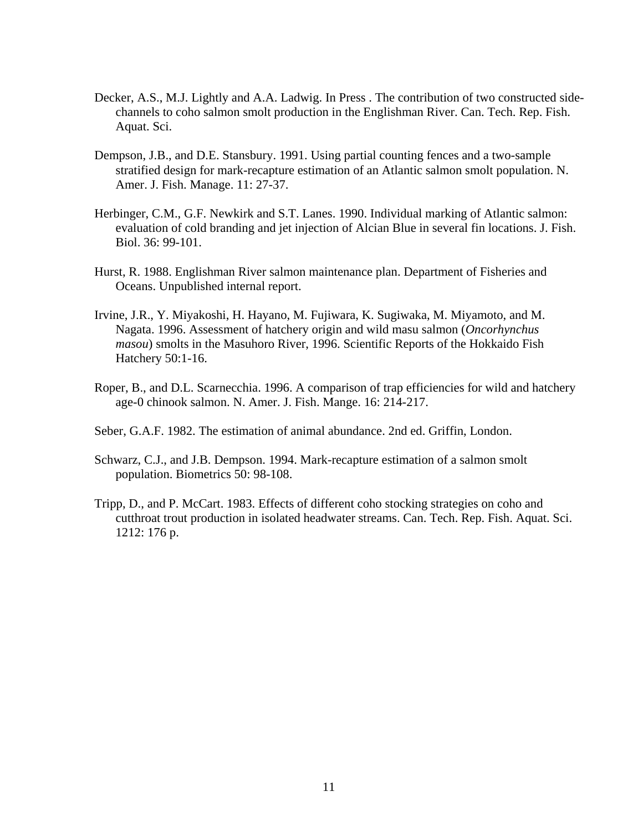- Decker, A.S., M.J. Lightly and A.A. Ladwig. In Press . The contribution of two constructed sidechannels to coho salmon smolt production in the Englishman River. Can. Tech. Rep. Fish. Aquat. Sci.
- Dempson, J.B., and D.E. Stansbury. 1991. Using partial counting fences and a two-sample stratified design for mark-recapture estimation of an Atlantic salmon smolt population. N. Amer. J. Fish. Manage. 11: 27-37.
- Herbinger, C.M., G.F. Newkirk and S.T. Lanes. 1990. Individual marking of Atlantic salmon: evaluation of cold branding and jet injection of Alcian Blue in several fin locations. J. Fish. Biol. 36: 99-101.
- Hurst, R. 1988. Englishman River salmon maintenance plan. Department of Fisheries and Oceans. Unpublished internal report.
- Irvine, J.R., Y. Miyakoshi, H. Hayano, M. Fujiwara, K. Sugiwaka, M. Miyamoto, and M. Nagata. 1996. Assessment of hatchery origin and wild masu salmon (*Oncorhynchus masou*) smolts in the Masuhoro River, 1996. Scientific Reports of the Hokkaido Fish Hatchery 50:1-16.
- Roper, B., and D.L. Scarnecchia. 1996. A comparison of trap efficiencies for wild and hatchery age-0 chinook salmon. N. Amer. J. Fish. Mange. 16: 214-217.
- Seber, G.A.F. 1982. The estimation of animal abundance. 2nd ed. Griffin, London.
- Schwarz, C.J., and J.B. Dempson. 1994. Mark-recapture estimation of a salmon smolt population. Biometrics 50: 98-108.
- Tripp, D., and P. McCart. 1983. Effects of different coho stocking strategies on coho and cutthroat trout production in isolated headwater streams. Can. Tech. Rep. Fish. Aquat. Sci. 1212: 176 p.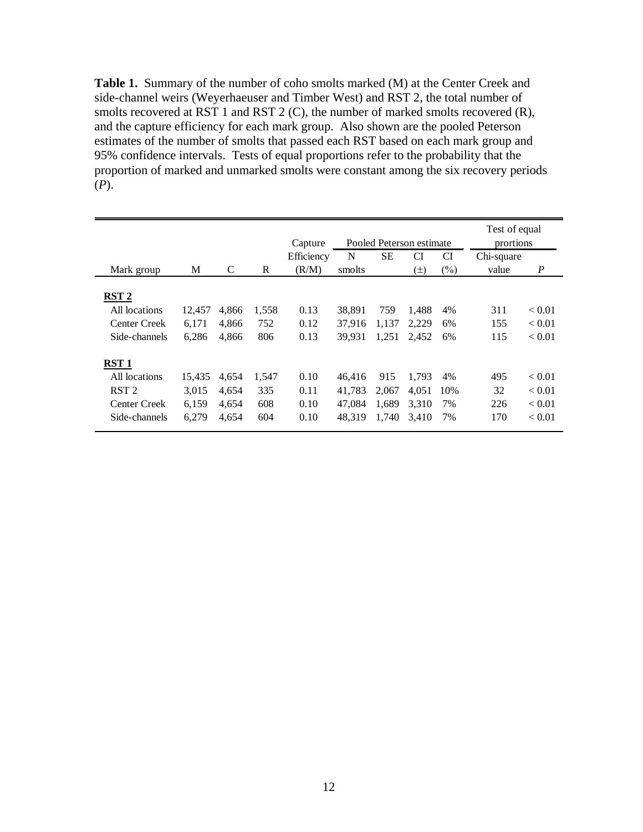<span id="page-15-0"></span>**Table 1.** Summary of the number of coho smolts marked (M) at the Center Creek and side-channel weirs (Weyerhaeuser and Timber West) and RST 2, the total number of smolts recovered at RST 1 and RST 2 (C), the number of marked smolts recovered (R), and the capture efficiency for each mark group. Also shown are the pooled Peterson estimates of the number of smolts that passed each RST based on each mark group and 95% confidence intervals. Tests of equal proportions refer to the probability that the proportion of marked and unmarked smolts were constant among the six recovery periods (*P*).

|                  |        |       |       | Capture    | Pooled Peterson estimate |           |         |        | Test of equal<br>prortions |                  |
|------------------|--------|-------|-------|------------|--------------------------|-----------|---------|--------|----------------------------|------------------|
|                  |        |       |       | Efficiency | N                        | <b>SE</b> | CI      | CI     | Chi-square                 |                  |
| Mark group       | М      | C     | R     | (R/M)      | smolts                   |           | $(\pm)$ | $(\%)$ | value                      | $\boldsymbol{P}$ |
|                  |        |       |       |            |                          |           |         |        |                            |                  |
| RST <sub>2</sub> |        |       |       |            |                          |           |         |        |                            |                  |
| All locations    | 12,457 | 4,866 | 1,558 | 0.13       | 38,891                   | 759       | 1,488   | 4%     | 311                        | < 0.01           |
| Center Creek     | 6.171  | 4.866 | 752   | 0.12       | 37.916                   | 1.137     | 2.229   | 6%     | 155                        | < 0.01           |
| Side-channels    | 6,286  | 4,866 | 806   | 0.13       | 39.931                   | 1,251     | 2.452   | 6%     | 115                        | < 0.01           |
| RST1             |        |       |       |            |                          |           |         |        |                            |                  |
| All locations    | 15,435 | 4,654 | 1,547 | 0.10       | 46.416                   | 915       | 1.793   | 4%     | 495                        | < 0.01           |
| RST <sub>2</sub> | 3.015  | 4.654 | 335   | 0.11       | 41.783                   | 2.067     | 4.051   | 10%    | 32                         | < 0.01           |
| Center Creek     | 6,159  | 4.654 | 608   | 0.10       | 47.084                   | 1.689     | 3.310   | 7%     | 226                        | < 0.01           |
| Side-channels    | 6,279  | 4.654 | 604   | 0.10       | 48.319                   | 1.740     | 3.410   | 7%     | 170                        | < 0.01           |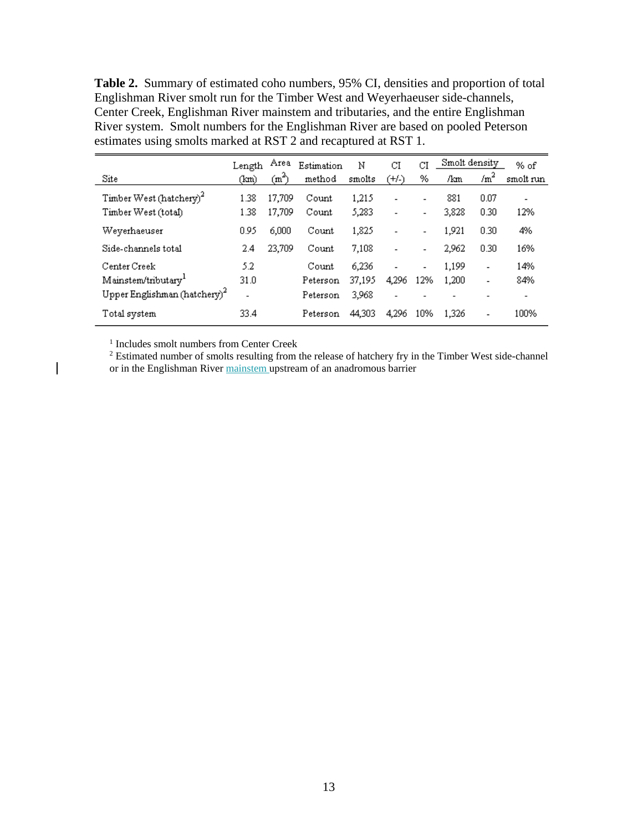<span id="page-16-0"></span>**Table 2.** Summary of estimated coho numbers, 95% CI, densities and proportion of total Englishman River smolt run for the Timber West and Weyerhaeuser side-channels, Center Creek, Englishman River mainstem and tributaries, and the entire Englishman River system. Smolt numbers for the Englishman River are based on pooled Peterson estimates using smolts marked at RST 2 and recaptured at RST 1.

|                                          | Length                   | Area              | Estimation | N      | СI                           | CI                       | Smolt density |                          | % of                     |
|------------------------------------------|--------------------------|-------------------|------------|--------|------------------------------|--------------------------|---------------|--------------------------|--------------------------|
| Site                                     | (km)                     | (m <sup>2</sup> ) | method     | smolts | (+/-)                        | %                        | /km           | /m <sup>2</sup>          | smolt run                |
| Timber West (hatchery) <sup>2</sup>      | 1.38                     | 17,709            | Count      | 1,215  | $\qquad \qquad \blacksquare$ | $\overline{\phantom{a}}$ | 881           | 0.07                     | $\overline{\phantom{a}}$ |
| Timber West (total)                      | 1.38                     | 17,709            | Count      | 5,283  | $\overline{\phantom{a}}$     | $\overline{\phantom{0}}$ | 3,828         | 0.30                     | 12%                      |
| Weyerhaeuser                             | 0.95                     | 6,000             | Count      | 1,825  | $\overline{\phantom{a}}$     | $\overline{\phantom{a}}$ | 1,921         | 0.30                     | 4%                       |
| Side-channels total                      | 2.4                      | 23,709            | Count      | 7,108  | $\qquad \qquad \blacksquare$ | $\overline{\phantom{a}}$ | 2,962         | 0.30                     | 16%                      |
| Center Creek                             | 5.2                      |                   | Count      | 6,236  | $\overline{\phantom{a}}$     | $\overline{\phantom{a}}$ | 1,199         | $\overline{\phantom{0}}$ | 14%                      |
| Mainstem/tributary <sup>1</sup>          | 31.0                     |                   | Peterson   | 37,195 | 4.296                        | 12%                      | 1,200         | $\overline{\phantom{0}}$ | 84%                      |
| Upper Englishman (hatchery) <sup>2</sup> | $\overline{\phantom{0}}$ |                   | Peterson   | 3,968  | $\overline{\phantom{a}}$     |                          |               |                          | $\overline{\phantom{0}}$ |
| Total system                             | 33.4                     |                   | Peterson   | 44,303 | 4.296                        | 10%                      | 1.326         |                          | 100%                     |

<sup>1</sup> Includes smolt numbers from Center Creek

<sup>2</sup> Estimated number of smolts resulting from the release of hatchery fry in the Timber West side-channel or in the Englishman River mainstem upstream of an anadromous barrier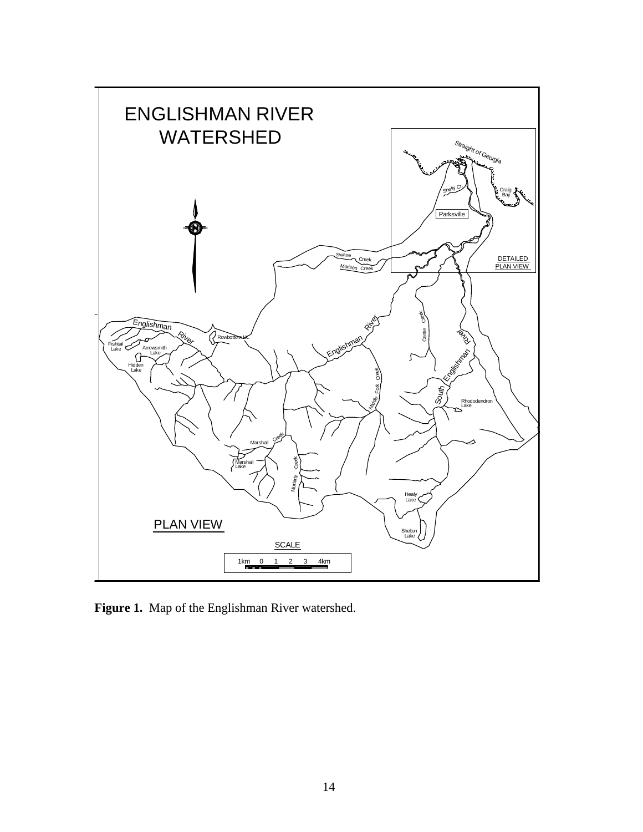

<span id="page-17-0"></span>**Figure 1.** Map of the Englishman River watershed.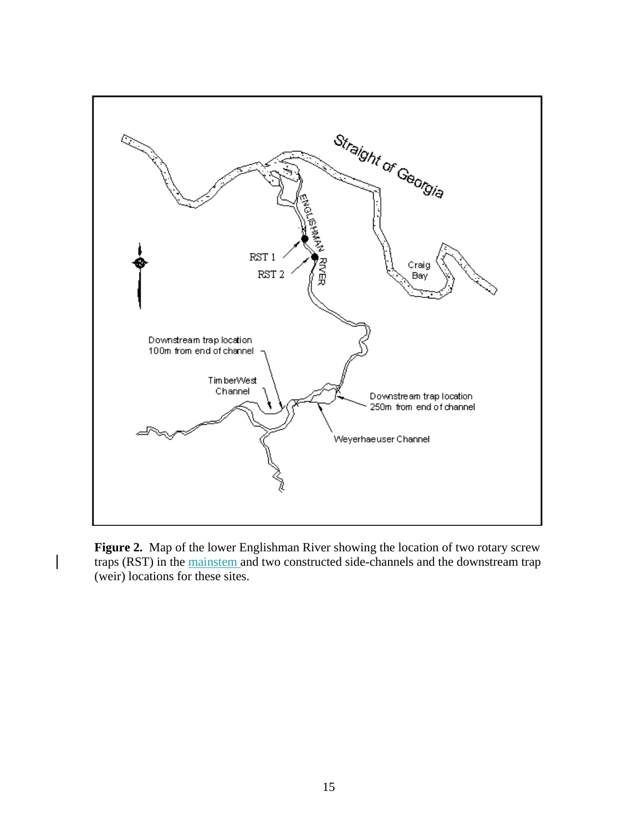

<span id="page-18-0"></span>**Figure 2.** Map of the lower Englishman River showing the location of two rotary screw traps (RST) in the mainstem and two constructed side-channels and the downstream trap (weir) locations for these sites.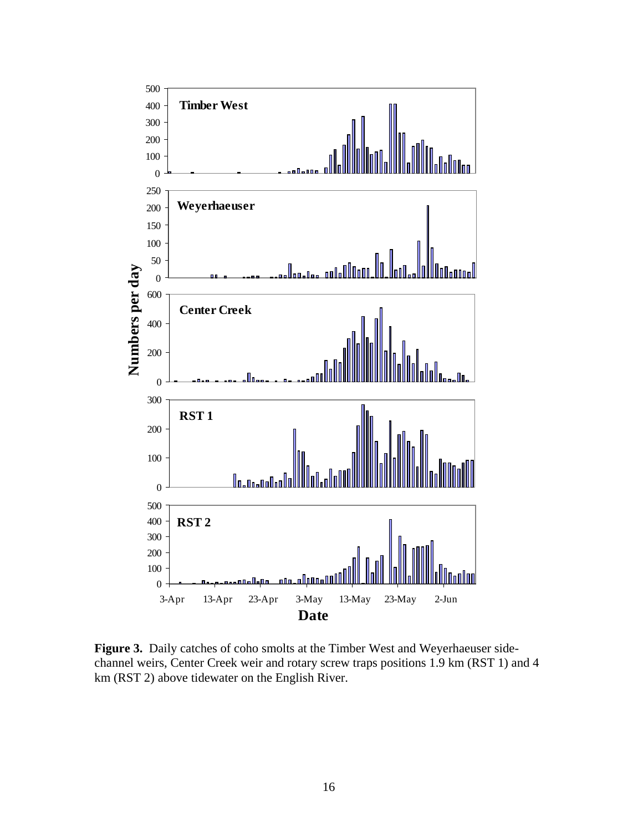

<span id="page-19-0"></span>Figure 3. Daily catches of coho smolts at the Timber West and Weyerhaeuser sidechannel weirs, Center Creek weir and rotary screw traps positions 1.9 km (RST 1) and 4 km (RST 2) above tidewater on the English River.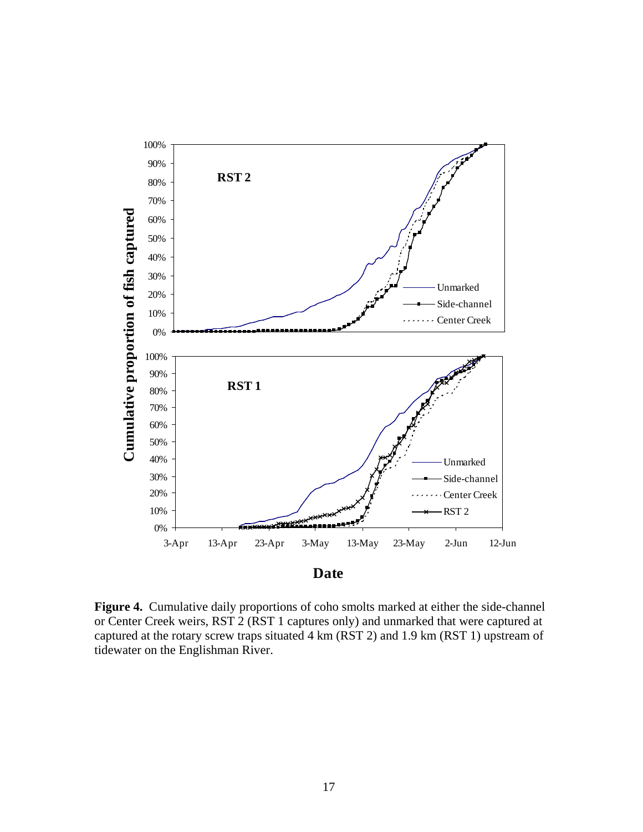

<span id="page-20-0"></span>**Figure 4.** Cumulative daily proportions of coho smolts marked at either the side-channel or Center Creek weirs, RST 2 (RST 1 captures only) and unmarked that were captured at captured at the rotary screw traps situated 4 km (RST 2) and 1.9 km (RST 1) upstream of tidewater on the Englishman River.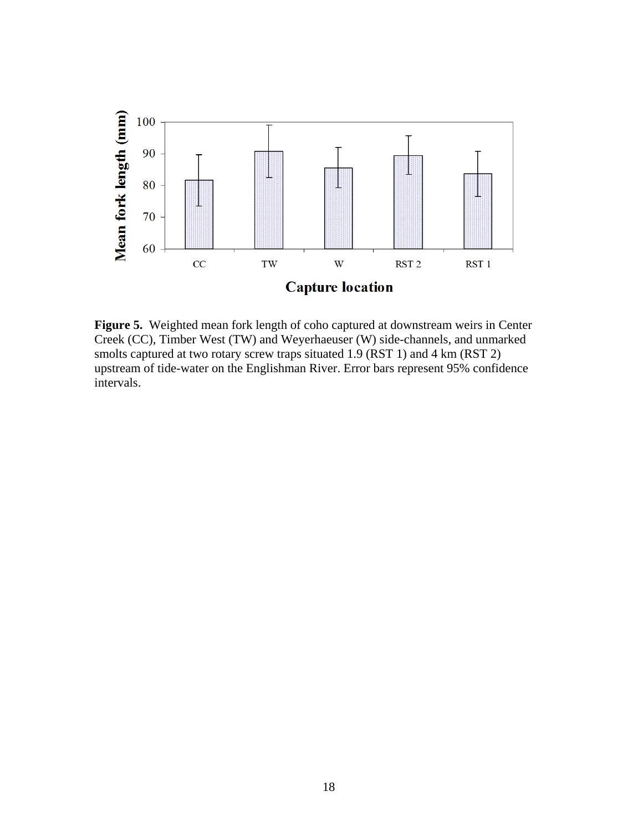

<span id="page-21-0"></span>**Figure 5.** Weighted mean fork length of coho captured at downstream weirs in Center Creek (CC), Timber West (TW) and Weyerhaeuser (W) side-channels, and unmarked smolts captured at two rotary screw traps situated 1.9 (RST 1) and 4 km (RST 2) upstream of tide-water on the Englishman River. Error bars represent 95% confidence intervals.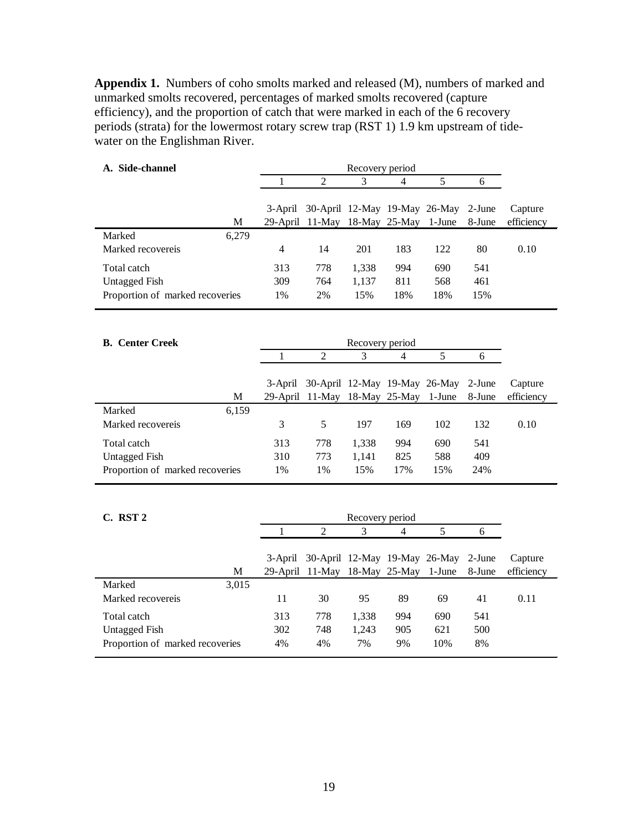<span id="page-22-0"></span>**Appendix 1.** Numbers of coho smolts marked and released (M), numbers of marked and unmarked smolts recovered, percentages of marked smolts recovered (capture efficiency), and the proportion of catch that were marked in each of the 6 recovery periods (strata) for the lowermost rotary screw trap (RST 1) 1.9 km upstream of tidewater on the Englishman River.

| A. Side-channel                 |       |                | Recovery period               |                 |     |        |        |            |  |  |
|---------------------------------|-------|----------------|-------------------------------|-----------------|-----|--------|--------|------------|--|--|
|                                 |       | 1              | $\overline{2}$                | 3               | 4   | 5      | 6      |            |  |  |
|                                 |       |                |                               |                 |     |        |        |            |  |  |
|                                 |       | 3-April        | 30-April 12-May 19-May 26-May |                 |     |        | 2-June | Capture    |  |  |
|                                 | M     |                | 29-April 11-May 18-May 25-May |                 |     | 1-June | 8-June | efficiency |  |  |
| Marked                          | 6,279 |                |                               |                 |     |        |        |            |  |  |
| Marked recovereis               |       | $\overline{4}$ | 14                            | 201             | 183 | 122    | 80     | 0.10       |  |  |
| Total catch                     |       | 313            | 778                           | 1,338           | 994 | 690    | 541    |            |  |  |
| <b>Untagged Fish</b>            |       | 309            | 764                           | 1,137           | 811 | 568    | 461    |            |  |  |
| Proportion of marked recoveries |       | 1%             | 2%                            | 15%             | 18% | 18%    | 15%    |            |  |  |
|                                 |       |                |                               |                 |     |        |        |            |  |  |
| <b>B.</b> Center Creek          |       |                |                               | Recovery period |     |        |        |            |  |  |
|                                 |       | 1              | $\overline{2}$                | 3               | 4   | 5      | 6      |            |  |  |
|                                 |       |                |                               |                 |     |        |        |            |  |  |
|                                 |       | 3-April        | 30-April 12-May 19-May 26-May |                 |     |        | 2-June | Capture    |  |  |
|                                 | M     |                | 29-April 11-May 18-May 25-May |                 |     | 1-June | 8-June | efficiency |  |  |
| Marked                          | 6,159 |                |                               |                 |     |        |        |            |  |  |
| Marked recovereis               |       | 3              | 5                             | 197             | 169 | 102    | 132    | 0.10       |  |  |
| Total catch                     |       | 313            | 778                           | 1,338           | 994 | 690    | 541    |            |  |  |
| <b>Untagged Fish</b>            |       | 310            | 773                           | 1,141           | 825 | 588    | 409    |            |  |  |

| C. RST 2                        |     |                                              | Recovery period |     |     |        |            |
|---------------------------------|-----|----------------------------------------------|-----------------|-----|-----|--------|------------|
|                                 |     | 2                                            | 3               | 4   | 5   |        |            |
|                                 |     |                                              |                 |     |     |        |            |
|                                 |     | 3-April 30-April 12-May 19-May 26-May 2-June |                 |     |     |        | Capture    |
| М                               |     | 29-April 11-May 18-May 25-May 1-June         |                 |     |     | 8-June | efficiency |
| 3,015<br>Marked                 |     |                                              |                 |     |     |        |            |
| Marked recovereis               | 11  | 30                                           | 95              | 89  | 69  | 41     | 0.11       |
| Total catch                     | 313 | 778                                          | 1,338           | 994 | 690 | 541    |            |
| Untagged Fish                   | 302 | 748                                          | 1,243           | 905 | 621 | 500    |            |
| Proportion of marked recoveries | 4%  | 4%                                           | 7%              | 9%  | 10% | 8%     |            |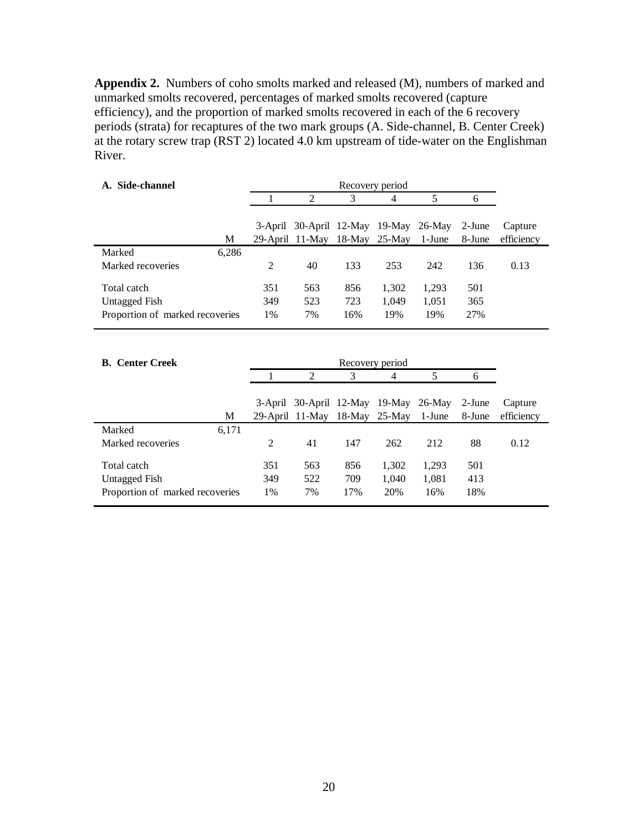<span id="page-23-0"></span>**Appendix 2.** Numbers of coho smolts marked and released (M), numbers of marked and unmarked smolts recovered, percentages of marked smolts recovered (capture efficiency), and the proportion of marked smolts recovered in each of the 6 recovery periods (strata) for recaptures of the two mark groups (A. Side-channel, B. Center Creek) at the rotary screw trap (RST 2) located 4.0 km upstream of tide-water on the Englishman River.

| Side-channel<br>A.              | Recovery period |     |                                       |     |                  |        |        |            |
|---------------------------------|-----------------|-----|---------------------------------------|-----|------------------|--------|--------|------------|
|                                 |                 |     | 2                                     | 3   | 4                | 5      |        |            |
|                                 |                 |     |                                       |     |                  |        |        |            |
|                                 |                 |     | 3-April 30-April 12-May 19-May 26-May |     |                  |        | 2-June | Capture    |
|                                 | М               |     | 29-April 11-May                       |     | $18$ -May 25-May | 1-June | 8-June | efficiency |
| Marked                          | 6,286           |     |                                       |     |                  |        |        |            |
| Marked recoveries               |                 | 2   | 40                                    | 133 | 253              | 242    | 136    | 0.13       |
|                                 |                 |     |                                       |     |                  |        |        |            |
| Total catch                     |                 | 351 | 563                                   | 856 | 1,302            | 1,293  | 501    |            |
| <b>Untagged Fish</b>            |                 | 349 | 523                                   | 723 | 1.049            | 1,051  | 365    |            |
| Proportion of marked recoveries |                 | 1%  | 7%                                    | 16% | 19%              | 19%    | 27%    |            |

| <b>B.</b> Center Creek          |       |                | Recovery period                       |     |       |        |        |            |  |  |
|---------------------------------|-------|----------------|---------------------------------------|-----|-------|--------|--------|------------|--|--|
|                                 |       |                | $\mathcal{L}$                         | 3   | 4     | 5      | n      |            |  |  |
|                                 |       |                |                                       |     |       |        |        |            |  |  |
|                                 |       |                | 3-April 30-April 12-May 19-May 26-May |     |       |        | 2-June | Capture    |  |  |
|                                 | М     |                | 29-April 11-May 18-May 25-May         |     |       | 1-June | 8-June | efficiency |  |  |
| Marked                          | 6,171 |                |                                       |     |       |        |        |            |  |  |
| Marked recoveries               |       | $\mathfrak{D}$ | 41                                    | 147 | 262   | 212    | 88     | 0.12       |  |  |
|                                 |       |                |                                       |     |       |        |        |            |  |  |
|                                 |       |                |                                       |     |       |        |        |            |  |  |
| Untagged Fish                   |       | 349            | 522                                   | 709 | 1,040 | 1,081  | 413    |            |  |  |
| Proportion of marked recoveries |       | 1%             | 7%                                    | 17% | 20%   | 16%    | 18%    |            |  |  |
| Total catch                     |       | 351            | 563                                   | 856 | 1,302 | 1,293  | 501    |            |  |  |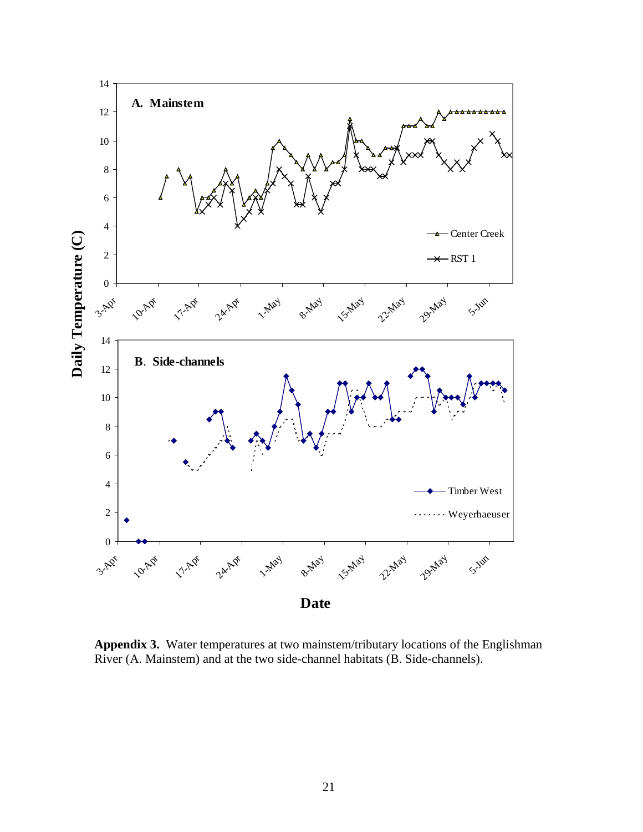

<span id="page-24-0"></span>**Appendix 3.** Water temperatures at two mainstem/tributary locations of the Englishman River (A. Mainstem) and at the two side-channel habitats (B. Side-channels).